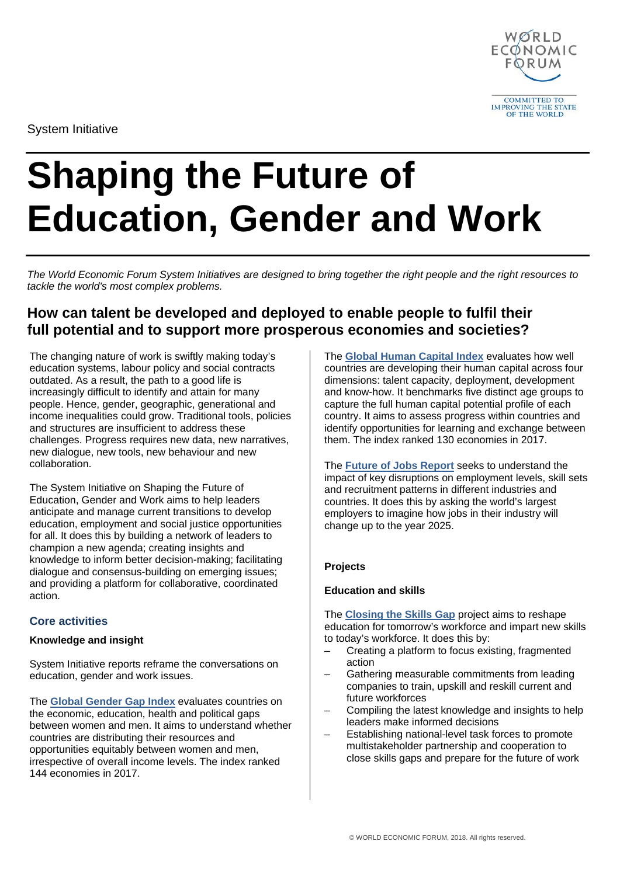

System Initiative

# **Shaping the Future of Education, Gender and Work**

*The World Economic Forum System Initiatives are designed to bring together the right people and the right resources to tackle the world's most complex problems.* 

## **How can talent be developed and deployed to enable people to fulfil their full potential and to support more prosperous economies and societies?**

The changing nature of work is swiftly making today's education systems, labour policy and social contracts outdated. As a result, the path to a good life is increasingly difficult to identify and attain for many people. Hence, gender, geographic, generational and income inequalities could grow. Traditional tools, policies and structures are insufficient to address these challenges. Progress requires new data, new narratives, new dialogue, new tools, new behaviour and new collaboration.

The System Initiative on Shaping the Future of Education, Gender and Work aims to help leaders anticipate and manage current transitions to develop education, employment and social justice opportunities for all. It does this by building a network of leaders to champion a new agenda; creating insights and knowledge to inform better decision-making; facilitating dialogue and consensus-building on emerging issues; and providing a platform for collaborative, coordinated action.

## **Core activities**

## **Knowledge and insight**

System Initiative reports reframe the conversations on education, gender and work issues.

The **[Global Gender Gap Index](https://www.weforum.org/reports/the-global-gender-gap-report-2017)** evaluates countries on the economic, education, health and political gaps between women and men. It aims to understand whether countries are distributing their resources and opportunities equitably between women and men, irrespective of overall income levels. The index ranked 144 economies in 2017.

The **[Global Human Capital Index](https://www.weforum.org/reports/the-global-human-capital-report-2017)** evaluates how well countries are developing their human capital across four dimensions: talent capacity, deployment, development and know-how. It benchmarks five distinct age groups to capture the full human capital potential profile of each country. It aims to assess progress within countries and identify opportunities for learning and exchange between them. The index ranked 130 economies in 2017.

The **[Future of Jobs Report](http://reports.weforum.org/future-of-jobs-2016/)** seeks to understand the impact of key disruptions on employment levels, skill sets and recruitment patterns in different industries and countries. It does this by asking the world's largest employers to imagine how jobs in their industry will change up to the year 2025.

## **Projects**

## **Education and skills**

The **[Closing the Skills Gap](https://www.weforum.org/projects/closing-the-skills-gap-regional-skills-projects)** project aims to reshape education for tomorrow's workforce and impart new skills to today's workforce. It does this by:

- Creating a platform to focus existing, fragmented action
- Gathering measurable commitments from leading companies to train, upskill and reskill current and future workforces
- Compiling the latest knowledge and insights to help leaders make informed decisions
- Establishing national-level task forces to promote multistakeholder partnership and cooperation to close skills gaps and prepare for the future of work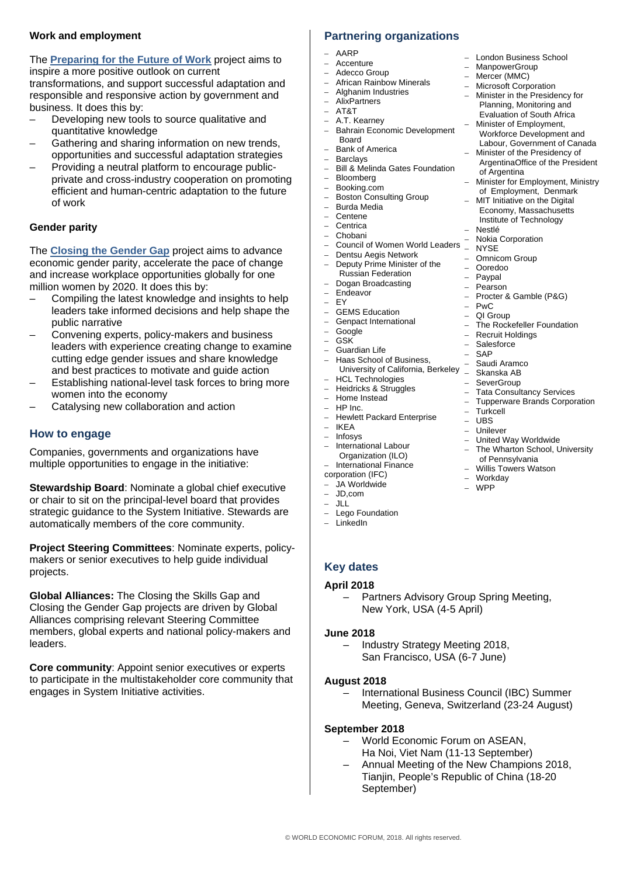## **Work and employment**

The **[Preparing for the Future of Work](https://www.weforum.org/projects/future-of-work)** project aims to inspire a more positive outlook on current transformations, and support successful adaptation and responsible and responsive action by government and business. It does this by:

- Developing new tools to source qualitative and quantitative knowledge
- Gathering and sharing information on new trends, opportunities and successful adaptation strategies
- Providing a neutral platform to encourage publicprivate and cross-industry cooperation on promoting efficient and human-centric adaptation to the future of work

#### **Gender parity**

The **[Closing the Gender Gap](https://www.weforum.org/projects/closing-the-gender-gap-gender-parity-task-forces)** project aims to advance economic gender parity, accelerate the pace of change and increase workplace opportunities globally for one million women by 2020. It does this by:

- Compiling the latest knowledge and insights to help leaders take informed decisions and help shape the public narrative
- Convening experts, policy-makers and business leaders with experience creating change to examine cutting edge gender issues and share knowledge and best practices to motivate and guide action
- Establishing national-level task forces to bring more women into the economy
- Catalysing new collaboration and action

## **How to engage**

Companies, governments and organizations have multiple opportunities to engage in the initiative:

**Stewardship Board**: Nominate a global chief executive or chair to sit on the principal-level board that provides strategic guidance to the System Initiative. Stewards are automatically members of the core community.

**Project Steering Committees**: Nominate experts, policymakers or senior executives to help guide individual projects.

**Global Alliances:** The Closing the Skills Gap and Closing the Gender Gap projects are driven by Global Alliances comprising relevant Steering Committee members, global experts and national policy-makers and leaders.

**Core community**: Appoint senior executives or experts to participate in the multistakeholder core community that engages in System Initiative activities.

## **Partnering organizations**

- AARP
- $-$  Accenture<br> $-$  Adecco Gu
- Adecco Group
- African Rainbow Minerals
- Alghanim Industries – AlixPartners
- AT&T
	- A.T. Kearney
	- Bahrain Economic Development Board
	- Bank of America
	- Barclays<br>– Bill & Me
	- Bill & Melinda Gates Foundation
	- Bloomberg – Booking.com
	- Boston Consulting Group
	- Burda Media
	- **Centene**
	- Centrica
	- Chobani
	- Council of Women World Leaders NYSE
		- Dentsu Aegis Network – Deputy Prime Minister of the
	- Russian Federation
	- Dogan Broadcasting – Endeavor
	-
	- $-$  EY<br> $-$  GF
	- GEMS Education
	- Genpact International<br>– Google – Google
	- GSK
	-
	- Guardian Life – Haas School of Business,
	- University of California, Berkeley \_ – HCL Technologies
	- Heidricks & Struggles
	- Home Instead
	-
	- HP Inc.<br>– Hewlett – Hewlett Packard Enterprise<br>– IKEA
	- $-$  IKEA<br> $-$  Infosy
	- **Infosys**
	- International Labour Organization (ILO)
	- International Finance corporation (IFC)
	- JA Worldwide
	- JD,com
	- $-$  JLL
	- Lego Foundation
	- LinkedIn

## **Key dates**

#### **April 2018**

– Partners Advisory Group Spring Meeting, New York, USA (4-5 April)

#### **June 2018**

– Industry Strategy Meeting 2018, San Francisco, USA (6-7 June)

#### **August 2018**

– International Business Council (IBC) Summer Meeting, Geneva, Switzerland (23-24 August)

#### **September 2018**

- World Economic Forum on ASEAN,
- Ha Noi, Viet Nam (11-13 September)
- Annual Meeting of the New Champions 2018, Tianjin, People's Republic of China (18-20 September)

of Pennsylvania – Willis Towers Watson

– London Business School<br>– MannowerGroup **ManpowerGroup** – Mercer (MMC)

– Microsoft Corporation – Minister in the Presidency for Planning, Monitoring and Evaluation of South Africa – Minister of Employment, Workforce Development and Labour, Government of Canada – Minister of the Presidency of ArgentinaOffice of the President

of Argentina

– Nokia Corporation

– Procter & Gamble (P&G)

– The Rockefeller Foundation<br>– Recruit Holdings – Recruit Holdings

– Tata Consultancy Services – Tupperware Brands Corporation

– United Way Worldwide – The Wharton School, University

– Omnicom Group – Ooredoo – Paypal – Pearson

– Nestlé

 $-$  PwC<br> $-$  QI G – QI Group

– Salesforce – SAP – Saudi Aramco Skanska AB **SeverGroup** 

– Turkcell – UBS – Unilever<br>– United W

– Minister for Employment, Ministry of Employment, Denmark – MIT Initiative on the Digital Economy, Massachusetts Institute of Technology

- Workday – WPP
-